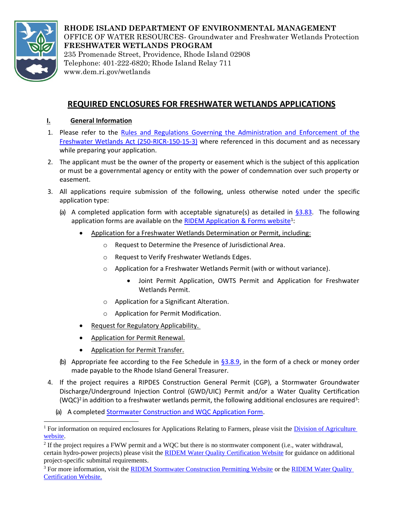

**RHODE ISLAND DEPARTMENT OF ENVIRONMENTAL MANAGEMENT**  OFFICE OF WATER RESOURCES- Groundwater and Freshwater Wetlands Protection **FRESHWATER WETLANDS PROGRAM**  235 Promenade Street, Providence, Rhode Island 02908 Telephone: 401-222-6820; Rhode Island Relay 711 www.dem.ri.gov/wetlands

# **REQUIRED ENCLOSURES FOR FRESHWATER WETLANDS APPLICATIONS**

# **I. General Information**

- 1. Please refer to the [Rules and Regulations Governing the Administration and Enforcement of the](https://rules.sos.ri.gov/regulations/part/250-150-15-3)  [Freshwater Wetlands Act \(250-RICR-150-15-3\)](https://rules.sos.ri.gov/regulations/part/250-150-15-3) where referenced in this document and as necessary while preparing your application.
- 2. The applicant must be the owner of the property or easement which is the subject of this application or must be a governmental agency or entity with the power of condemnation over such property or easement.
- 3. All applications require submission of the following, unless otherwise noted under the specific application type:
	- (a) A completed application form with acceptable signature(s) as detailed in  $\S 3.83$ . The following application forms are available on the **RIDEM Application & Forms website**<sup>1</sup>:
		- Application for a Freshwater Wetlands Determination or Permit, including:
			- o Request to Determine the Presence of Jurisdictional Area.
			- o Request to Verify Freshwater Wetlands Edges.
			- o Application for a Freshwater Wetlands Permit (with or without variance).
				- Joint Permit Application, OWTS Permit and Application for Freshwater Wetlands Permit.
			- o Application for a Significant Alteration.
			- o Application for Permit Modification.
		- Request for Regulatory Applicability.
		- Application for Permit Renewal.
		- Application for Permit Transfer.
	- (b) Appropriate fee according to the Fee Schedule in  $$3.8.9$ , in the form of a check or money order made payable to the Rhode Island General Treasurer.
- 4. If the project requires a RIPDES Construction General Permit (CGP), a Stormwater Groundwater Discharge/Underground Injection Control (GWD/UIC) Permit and/or a Water Quality Certification (WQC)<sup>2</sup> in addition to a freshwater wetlands permit, the following additional enclosures are required<sup>3</sup>:
	- (a) A complete[d Stormwater Construction and WQC Application Form.](http://www.dem.ri.gov/programs/benviron/water/permits/swcoord/stwapp.xlsm)

<sup>&</sup>lt;sup>1</sup> For information on required enclosures for Applications Relating to Farmers, please visit the Division of Agriculture [website.](http://www.dem.ri.gov/programs/agriculture/)

 $2$  If the project requires a FWW permit and a WQC but there is no stormwater component (i.e., water withdrawal, certain hydro-power projects) please visit th[e RIDEM Water Quality Certification Website](http://www.dem.ri.gov/programs/water/permits/water-quality-certification.php) for guidance on additional project-specific submittal requirements.

<sup>&</sup>lt;sup>3</sup> For more information, visit the [RIDEM Stormwater Construction Permitting Website](http://www.dem.ri.gov/programs/water/permits/ripdes/stormwater/construction.php) or the RIDEM Water Quality [Certification Website.](http://www.dem.ri.gov/programs/water/permits/water-quality-certification.php)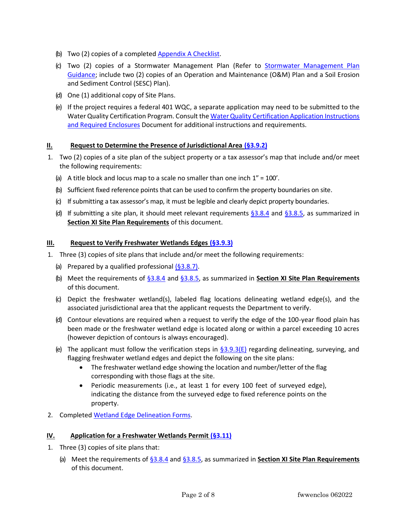- (b) Two (2) copies of a completed [Appendix A Checklist.](http://www.dem.ri.gov/programs/benviron/water/permits/swcoord/cheklist.docx)
- (c) Two (2) copies of a Stormwater Management Plan (Refer to [Stormwater Management Plan](http://www.dem.ri.gov/programs/benviron/water/permits/swcoord/pdf/swmpguid.pdf)  [Guidance;](http://www.dem.ri.gov/programs/benviron/water/permits/swcoord/pdf/swmpguid.pdf) include two (2) copies of an Operation and Maintenance (O&M) Plan and a Soil Erosion and Sediment Control (SESC) Plan).
- (d) One (1) additional copy of Site Plans.
- (e) If the project requires a federal 401 WQC, a separate application may need to be submitted to the Water Quality Certification Program. Consult th[e Water Quality Certification Application Instructions](http://www.dem.ri.gov/programs/benviron/water/permits/wqc/pdfs/wqcheck.pdf)  [and Required Enclosures](http://www.dem.ri.gov/programs/benviron/water/permits/wqc/pdfs/wqcheck.pdf) Document for additional instructions and requirements.

## **II. Request to Determine the Presence of Jurisdictional Area [\(§3.9.2\)](https://risos-apa-production-public.s3.amazonaws.com/DEM/REG_11509_20211224112615.pdf#page=71)**

- 1. Two (2) copies of a site plan of the subject property or a tax assessor's map that include and/or meet the following requirements:
	- (a) A title block and locus map to a scale no smaller than one inch  $1'' = 100'$ .
	- (b) Sufficient fixed reference points that can be used to confirm the property boundaries on site.
	- (c) If submitting a tax assessor's map, it must be legible and clearly depict property boundaries.
	- (d) If submitting a site plan, it should meet relevant requirements  $\S 3.8.4$  and  $\S 3.8.5$ , as summarized in **Section XI Site Plan Requirements** of this document.

#### **III. Request to Verify Freshwater Wetlands Edges [\(§3.9.3\)](https://risos-apa-production-public.s3.amazonaws.com/DEM/REG_11509_20211224112615.pdf#page=72)**

- 1. Three (3) copies of site plans that include and/or meet the following requirements:
	- (a) Prepared by a qualified professional  $(§3.8.7)$ .
	- (b) Meet the requirements of [§3.8.4](https://risos-apa-production-public.s3.amazonaws.com/DEM/REG_11509_20211224112615.pdf#page=58) and [§3.8.5,](https://risos-apa-production-public.s3.amazonaws.com/DEM/REG_11509_20211224112615.pdf#page=60) as summarized in **Section XI Site Plan Requirements** of this document.
	- (c) Depict the freshwater wetland(s), labeled flag locations delineating wetland edge(s), and the associated jurisdictional area that the applicant requests the Department to verify.
	- (d) Contour elevations are required when a request to verify the edge of the 100-year flood plain has been made or the freshwater wetland edge is located along or within a parcel exceeding 10 acres (however depiction of contours is always encouraged).
	- (e) The applicant must follow the verification steps in  $\S$ 3.9.3(E) regarding delineating, surveying, and flagging freshwater wetland edges and depict the following on the site plans:
		- The freshwater wetland edge showing the location and number/letter of the flag corresponding with those flags at the site.
		- Periodic measurements (i.e., at least 1 for every 100 feet of surveyed edge), indicating the distance from the surveyed edge to fixed reference points on the property.
- 2. Completed [Wetland Edge Delineation Forms.](http://www.dem.ri.gov/documents/forms/index.php#wetlands)

#### **IV. Application for a Freshwater Wetlands Permit [\(§3.11\)](https://risos-apa-production-public.s3.amazonaws.com/DEM/REG_11509_20211224112615.pdf#page=76)**

- 1. Three (3) copies of site plans that:
	- (a) Meet the requirements of [§3.8.4](https://risos-apa-production-public.s3.amazonaws.com/DEM/REG_11509_20211224112615.pdf#page=58) and [§3.8.5,](https://risos-apa-production-public.s3.amazonaws.com/DEM/REG_11509_20211224112615.pdf#page=60) as summarized in **Section XI Site Plan Requirements** of this document.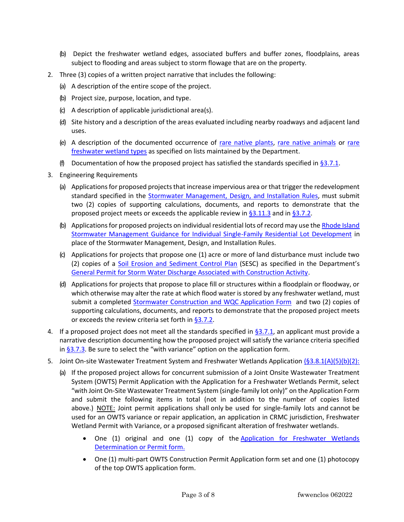- (b) Depict the freshwater wetland edges, associated buffers and buffer zones, floodplains, areas subject to flooding and areas subject to storm flowage that are on the property.
- 2. Three (3) copies of a written project narrative that includes the following:
	- (a) A description of the entire scope of the project.
	- (b) Project size, purpose, location, and type.
	- (c) A description of applicable jurisdictional area(s).
	- (d) Site history and a description of the areas evaluated including nearby roadways and adjacent land uses.
	- (e) A description of the documented occurrence of [rare native plants,](http://www.dem.ri.gov/programs/benviron/water/permits/fresh/pdfs/rhode-island-rare-plants.pdf) [rare native animals](http://www.dem.ri.gov/programs/benviron/water/permits/fresh/pdfs/ridem-rhode-island-rare-animals.pdf) or [rare](https://risos-apa-production-public.s3.amazonaws.com/DEM/REG_11509_20211224112615.pdf#page=17)  [freshwater wetland types](https://risos-apa-production-public.s3.amazonaws.com/DEM/REG_11509_20211224112615.pdf#page=17) as specified on lists maintained by the Department.
	- (f) Documentation of how the proposed project has satisfied the standards specified in  $\S 3.7.1$ .
- 3. Engineering Requirements
	- (a) Applications for proposed projects that increase impervious area or that trigger the redevelopment standard specified in the **Stormwater Management**, Design, and Installation Rules, must submit two (2) copies of supporting calculations, documents, and reports to demonstrate that the proposed project meets or exceeds the applicable review in  $\S 3.11.3$  and in  $\S 3.7.2$ .
	- (b) Applications for proposed projects on individual residential lots of record may use the [Rhode Island](chrome-extension://efaidnbmnnnibpcajpcglclefindmkaj/http:/www.dem.ri.gov/programs/benviron/water/permits/ripdes/stwater/pdfs/swsinfam.pdf)  [Stormwater Management Guidance for Individual Single-Family Residential Lot Development](chrome-extension://efaidnbmnnnibpcajpcglclefindmkaj/http:/www.dem.ri.gov/programs/benviron/water/permits/ripdes/stwater/pdfs/swsinfam.pdf) in place of the Stormwater Management, Design, and Installation Rules.
	- (c) Applications for projects that propose one (1) acre or more of land disturbance must include two (2) copies of a [Soil Erosion and Sediment Control Plan](http://www.dem.ri.gov/programs/benviron/water/permits/swcoord/pdf/erosionsedplan16.docx) (SESC) as specified in the Department's [General Permit for Storm Water Discharge Associated with Construction Activity.](chrome-extension://efaidnbmnnnibpcajpcglclefindmkaj/http:/www.dem.ri.gov/programs/benviron/water/permits/ripdes/pdfs/cgp092620.pdf)
	- (d) Applications for projects that propose to place fill or structures within a floodplain or floodway, or which otherwise may alter the rate at which flood water is stored by any freshwater wetland, must submit a completed [Stormwater Construction and WQC Application Form](http://www.dem.ri.gov/programs/benviron/water/permits/swcoord/stwapp.xlsm) and two (2) copies of supporting calculations, documents, and reports to demonstrate that the proposed project meets or exceeds the review criteria set forth i[n §3.7.2.](https://risos-apa-production-public.s3.amazonaws.com/DEM/REG_11509_20211224112615.pdf#page=48)
- 4. If a proposed project does not meet all the standards specified in  $\S$ 3.7.1, an applicant must provide a narrative description documenting how the proposed project will satisfy the variance criteria specified in  $§3.7.3.$  Be sure to select the "with variance" option on the application form.
- 5. Joint On-site Wastewater Treatment System and Freshwater Wetlands Application [\(§3.8.1\(A\)\(5\)\(b\)\(2\):](https://risos-apa-production-public.s3.amazonaws.com/DEM/REG_11509_20211224112615.pdf#page=55)
	- (a) If the proposed project allows for concurrent submission of a Joint Onsite Wastewater Treatment System (OWTS) Permit Application with the Application for a Freshwater Wetlands Permit, select "with Joint On-Site Wastewater Treatment System (single-family lot only)" on the Application Form and submit the following items in total (not in addition to the number of copies listed above.) NOTE: Joint permit applications shall only be used for single-family lots and cannot be used for an OWTS variance or repair application, an application in CRMC jurisdiction, Freshwater Wetland Permit with Variance, or a proposed significant alteration of freshwater wetlands.
		- One (1) original and one (1) copy of the Application for Freshwater Wetlands [Determination or Permit form.](http://www.dem.ri.gov/documents/forms/index.php#wetlands)
		- One (1) multi-part OWTS Construction Permit Application form set and one (1) photocopy of the top OWTS application form.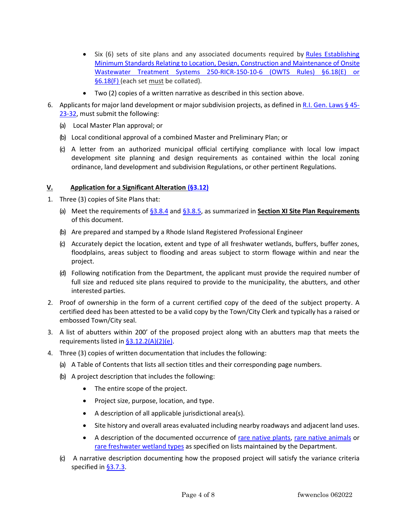- Six (6) sets of site plans and any associated documents required by Rules [Establishing](https://risos-apa-production-public.s3.amazonaws.com/DEM/REG_12592_20211228135943.pdf#page=43) Minimum Standards Relating to Location, Design, Construction and [Maintenance](https://risos-apa-production-public.s3.amazonaws.com/DEM/REG_12592_20211228135943.pdf#page=43) of Onsite Wastewater Treatment Systems [250-RICR-150-10-6](https://risos-apa-production-public.s3.amazonaws.com/DEM/REG_12592_20211228135943.pdf#page=43) (OWTS Rules) §6.18(E) or [§6.18\(F\)](https://risos-apa-production-public.s3.amazonaws.com/DEM/REG_12592_20211228135943.pdf#page=43) (each set must be collated).
- Two (2) copies of a written narrative as described in this section above.
- 6. Applicants for major land development or major subdivision projects, as defined in R.I. Gen. Laws  $\S$  45-[23-32,](http://webserver.rilin.state.ri.us/Statutes/TITLE45/45-23/45-23-32.HTM) must submit the following:
	- (a) Local Master Plan approval; or
	- (b) Local conditional approval of a combined Master and Preliminary Plan; or
	- (c) A letter from an authorized municipal official certifying compliance with local low impact development site planning and design requirements as contained within the local zoning ordinance, land development and subdivision Regulations, or other pertinent Regulations.

## **V. Application for a Significant Alteration [\(§3.12\)](https://risos-apa-production-public.s3.amazonaws.com/DEM/REG_11509_20211224112615.pdf#page=83)**

- 1. Three (3) copies of Site Plans that:
	- (a) Meet the requirements of [§3.8.4](https://risos-apa-production-public.s3.amazonaws.com/DEM/REG_11509_20211224112615.pdf#page=58) and [§3.8.5,](https://risos-apa-production-public.s3.amazonaws.com/DEM/REG_11509_20211224112615.pdf#page=60) as summarized in **Section XI Site Plan Requirements** of this document.
	- (b) Are prepared and stamped by a Rhode Island Registered Professional Engineer
	- (c) Accurately depict the location, extent and type of all freshwater wetlands, buffers, buffer zones, floodplains, areas subject to flooding and areas subject to storm flowage within and near the project.
	- (d) Following notification from the Department, the applicant must provide the required number of full size and reduced site plans required to provide to the municipality, the abutters, and other interested parties.
- 2. Proof of ownership in the form of a current certified copy of the deed of the subject property. A certified deed has been attested to be a valid copy by the Town/City Clerk and typically has a raised or embossed Town/City seal.
- 3. A list of abutters within 200' of the proposed project along with an abutters map that meets the requirements listed in [§3.12.2\(A\)\(2\)\(e\).](https://risos-apa-production-public.s3.amazonaws.com/DEM/REG_11509_20211224112615.pdf#page=84)
- 4. Three (3) copies of written documentation that includes the following:
	- (a) A Table of Contents that lists all section titles and their corresponding page numbers.
	- (b) A project description that includes the following:
		- The entire scope of the project.
		- Project size, purpose, location, and type.
		- A description of all applicable jurisdictional area(s).
		- Site history and overall areas evaluated including nearby roadways and adjacent land uses.
		- A description of the documented occurrence of [rare native plants,](http://www.dem.ri.gov/programs/benviron/water/permits/fresh/pdfs/rhode-island-rare-plants.pdf) [rare native animals](http://www.dem.ri.gov/programs/benviron/water/permits/fresh/pdfs/ridem-rhode-island-rare-animals.pdf) or [rare freshwater wetland types](https://risos-apa-production-public.s3.amazonaws.com/DEM/REG_11509_20211224112615.pdf#page=17) as specified on lists maintained by the Department.
	- (c) A narrative description documenting how the proposed project will satisfy the variance criteria specified in **§3.7.3**.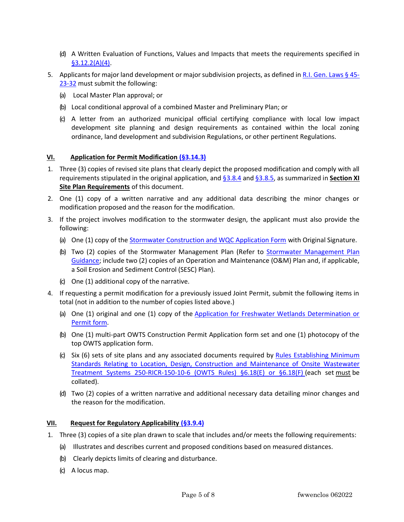- (d) A Written Evaluation of Functions, Values and Impacts that meets the requirements specified in  $§3.12.2(A)(4).$
- 5. Applicants for major land development or major subdivision projects, as defined in [R.I. Gen. Laws § 45-](http://webserver.rilin.state.ri.us/Statutes/TITLE45/45-23/45-23-32.HTM) [23-32](http://webserver.rilin.state.ri.us/Statutes/TITLE45/45-23/45-23-32.HTM) must submit the following:
	- (a) Local Master Plan approval; or
	- (b) Local conditional approval of a combined Master and Preliminary Plan; or
	- (c) A letter from an authorized municipal official certifying compliance with local low impact development site planning and design requirements as contained within the local zoning ordinance, land development and subdivision Regulations, or other pertinent Regulations.

## **VI. Application for Permit Modificatio[n \(§3.14.3\)](https://risos-apa-production-public.s3.amazonaws.com/DEM/REG_11509_20211224112615.pdf#page=107)**

- 1. Three (3) copies of revised site plans that clearly depict the proposed modification and comply with all requirements stipulated in the original application, and [§3.8.4](https://risos-apa-production-public.s3.amazonaws.com/DEM/REG_11509_20211224112615.pdf#page=58) and [§3.8.5,](https://risos-apa-production-public.s3.amazonaws.com/DEM/REG_11509_20211224112615.pdf#page=60) as summarized in **Section XI Site Plan Requirements** of this document.
- 2. One (1) copy of a written narrative and any additional data describing the minor changes or modification proposed and the reason for the modification.
- 3. If the project involves modification to the stormwater design, the applicant must also provide the following:
	- (a) One (1) copy of th[e Stormwater Construction and WQC Application Form](http://www.dem.ri.gov/programs/benviron/water/permits/swcoord/stwapp.xlsm) with Original Signature.
	- (b) Two (2) copies of the Stormwater Management Plan (Refer to [Stormwater Management Plan](http://www.dem.ri.gov/programs/benviron/water/permits/swcoord/pdf/swmpguid.pdf)  [Guidance;](http://www.dem.ri.gov/programs/benviron/water/permits/swcoord/pdf/swmpguid.pdf) include two (2) copies of an Operation and Maintenance (O&M) Plan and, if applicable, a Soil Erosion and Sediment Control (SESC) Plan).
	- (c) One (1) additional copy of the narrative.
- 4. If requesting a permit modification for a previously issued Joint Permit, submit the following items in total (not in addition to the number of copies listed above.)
	- (a) One (1) original and one (1) copy of the Application for Freshwater Wetlands Determination or [Permit form.](http://www.dem.ri.gov/documents/forms/index.php#wetlands)
	- (b) One (1) multi-part OWTS Construction Permit Application form set and one (1) photocopy of the top OWTS application form.
	- (c) Six (6) sets of site plans and any associated documents required by [Rules Establishing Minimum](https://risos-apa-production-public.s3.amazonaws.com/DEM/REG_12592_20211228135943.pdf#page=43)  [Standards Relating to Location, Design, Construction and Maintenance of Onsite Wastewater](https://risos-apa-production-public.s3.amazonaws.com/DEM/REG_12592_20211228135943.pdf#page=43)  [Treatment Systems 250-RICR-150-10-6 \(OWTS Rules\) §6.18\(E\) or §6.18\(F\)](https://risos-apa-production-public.s3.amazonaws.com/DEM/REG_12592_20211228135943.pdf#page=43) (each set must be collated).
	- (d) Two (2) copies of a written narrative and additional necessary data detailing minor changes and the reason for the modification.

## **VII. Request for Regulatory Applicability [\(§3.9.4\)](https://risos-apa-production-public.s3.amazonaws.com/DEM/REG_11509_20211224112615.pdf#page=74)**

- 1. Three (3) copies of a site plan drawn to scale that includes and/or meets the following requirements:
	- (a) Illustrates and describes current and proposed conditions based on measured distances.
	- (b) Clearly depicts limits of clearing and disturbance.
	- (c) A locus map.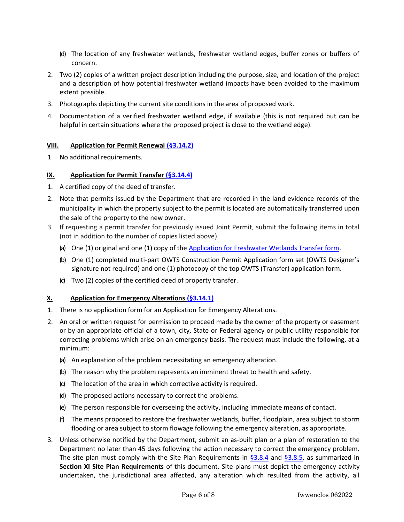- (d) The location of any freshwater wetlands, freshwater wetland edges, buffer zones or buffers of concern.
- 2. Two (2) copies of a written project description including the purpose, size, and location of the project and a description of how potential freshwater wetland impacts have been avoided to the maximum extent possible.
- 3. Photographs depicting the current site conditions in the area of proposed work.
- 4. Documentation of a verified freshwater wetland edge, if available (this is not required but can be helpful in certain situations where the proposed project is close to the wetland edge).

## **VIII. Application for Permit Renewa[l \(§3.14.2\)](https://risos-apa-production-public.s3.amazonaws.com/DEM/REG_11509_20211224112615.pdf#page=106)**

1. No additional requirements.

## **IX. Application for Permit Transfer [\(§3.14.4\)](https://risos-apa-production-public.s3.amazonaws.com/DEM/REG_11509_20211224112615.pdf#page=108)**

- 1. A certified copy of the deed of transfer.
- 2. Note that permits issued by the Department that are recorded in the land evidence records of the municipality in which the property subject to the permit is located are automatically transferred upon the sale of the property to the new owner.
- 3. If requesting a permit transfer for previously issued Joint Permit, submit the following items in total (not in addition to the number of copies listed above).
	- (a) One (1) original and one (1) copy of the [Application for Freshwater Wetlands Transfer form.](http://www.dem.ri.gov/documents/forms/index.php#wetlands)
	- (b) One (1) completed multi-part OWTS Construction Permit Application form set (OWTS Designer's signature not required) and one (1) photocopy of the top OWTS (Transfer) application form.
	- (c) Two (2) copies of the certified deed of property transfer.

#### **X. Application for Emergency Alterations [\(§3.14.1\)](https://risos-apa-production-public.s3.amazonaws.com/DEM/REG_11509_20211224112615.pdf#page=105)**

- 1. There is no application form for an Application for Emergency Alterations.
- 2. An oral or written request for permission to proceed made by the owner of the property or easement or by an appropriate official of a town, city, State or Federal agency or public utility responsible for correcting problems which arise on an emergency basis. The request must include the following, at a minimum:
	- (a) An explanation of the problem necessitating an emergency alteration.
	- (b) The reason why the problem represents an imminent threat to health and safety.
	- (c) The location of the area in which corrective activity is required.
	- (d) The proposed actions necessary to correct the problems.
	- (e) The person responsible for overseeing the activity, including immediate means of contact.
	- (f) The means proposed to restore the freshwater wetlands, buffer, floodplain, area subject to storm flooding or area subject to storm flowage following the emergency alteration, as appropriate.
- 3. Unless otherwise notified by the Department, submit an as-built plan or a plan of restoration to the Department no later than 45 days following the action necessary to correct the emergency problem. The site plan must comply with the Site Plan Requirements in  $\S 3.8.4$  and  $\S 3.8.5$ , as summarized in **Section XI Site Plan Requirements** of this document. Site plans must depict the emergency activity undertaken, the jurisdictional area affected, any alteration which resulted from the activity, all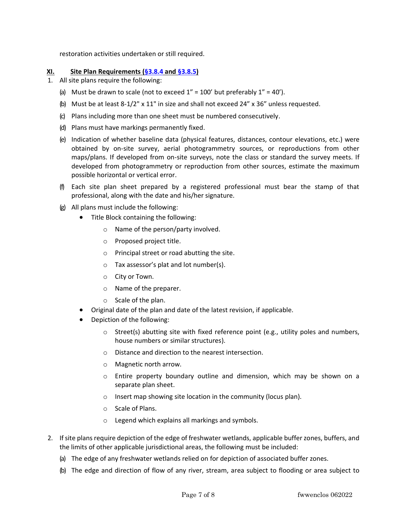restoration activities undertaken or still required.

#### **XI. Site Plan Requirements [\(§3.8.4](https://risos-apa-production-public.s3.amazonaws.com/DEM/REG_11509_20211224112615.pdf#page=58) and [§3.8.5\)](https://risos-apa-production-public.s3.amazonaws.com/DEM/REG_11509_20211224112615.pdf#page=60)**

- 1. All site plans require the following:
	- (a) Must be drawn to scale (not to exceed  $1'' = 100'$  but preferably  $1'' = 40'$ ).
	- (b) Must be at least 8-1/2" x 11" in size and shall not exceed 24" x 36" unless requested.
	- (c) Plans including more than one sheet must be numbered consecutively.
	- (d) Plans must have markings permanently fixed.
	- (e) Indication of whether baseline data (physical features, distances, contour elevations, etc.) were obtained by on-site survey, aerial photogrammetry sources, or reproductions from other maps/plans. If developed from on-site surveys, note the class or standard the survey meets. If developed from photogrammetry or reproduction from other sources, estimate the maximum possible horizontal or vertical error.
	- (f) Each site plan sheet prepared by a registered professional must bear the stamp of that professional, along with the date and his/her signature.
	- (g) All plans must include the following:
		- Title Block containing the following:
			- o Name of the person/party involved.
			- o Proposed project title.
			- o Principal street or road abutting the site.
			- o Tax assessor's plat and lot number(s).
			- o City or Town.
			- o Name of the preparer.
			- o Scale of the plan.
		- Original date of the plan and date of the latest revision, if applicable.
		- Depiction of the following:
			- $\circ$  Street(s) abutting site with fixed reference point (e.g., utility poles and numbers, house numbers or similar structures).
			- o Distance and direction to the nearest intersection.
			- o Magnetic north arrow.
			- o Entire property boundary outline and dimension, which may be shown on a separate plan sheet.
			- o Insert map showing site location in the community (locus plan).
			- o Scale of Plans.
			- o Legend which explains all markings and symbols.
- 2. If site plans require depiction of the edge of freshwater wetlands, applicable buffer zones, buffers, and the limits of other applicable jurisdictional areas, the following must be included:
	- (a) The edge of any freshwater wetlands relied on for depiction of associated buffer zones.
	- (b) The edge and direction of flow of any river, stream, area subject to flooding or area subject to